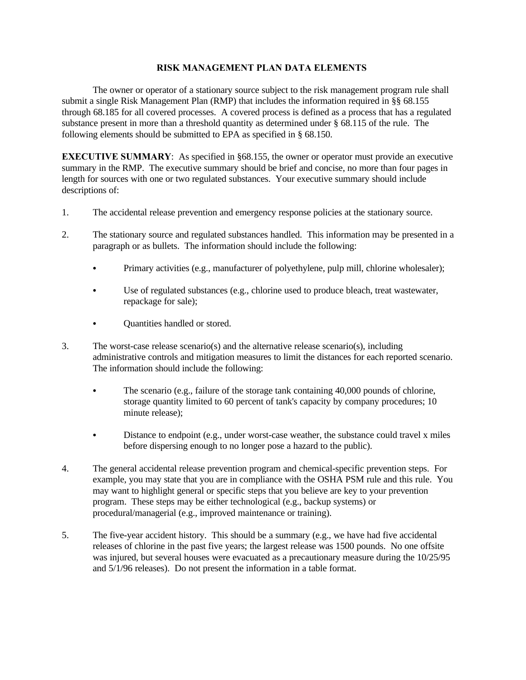## **RISK MANAGEMENT PLAN DATA ELEMENTS**

The owner or operator of a stationary source subject to the risk management program rule shall submit a single Risk Management Plan (RMP) that includes the information required in §§ 68.155 through 68.185 for all covered processes. A covered process is defined as a process that has a regulated substance present in more than a threshold quantity as determined under § 68.115 of the rule. The following elements should be submitted to EPA as specified in § 68.150.

**EXECUTIVE SUMMARY:** As specified in §68.155, the owner or operator must provide an executive summary in the RMP. The executive summary should be brief and concise, no more than four pages in length for sources with one or two regulated substances. Your executive summary should include descriptions of:

- 1. The accidental release prevention and emergency response policies at the stationary source.
- 2. The stationary source and regulated substances handled. This information may be presented in a paragraph or as bullets. The information should include the following:
	- Primary activities (e.g., manufacturer of polyethylene, pulp mill, chlorine wholesaler);
	- Use of regulated substances (e.g., chlorine used to produce bleach, treat wastewater, repackage for sale);
	- Quantities handled or stored.
- 3. The worst-case release scenario(s) and the alternative release scenario(s), including administrative controls and mitigation measures to limit the distances for each reported scenario. The information should include the following:
	- The scenario (e.g., failure of the storage tank containing  $40,000$  pounds of chlorine, storage quantity limited to 60 percent of tank's capacity by company procedures; 10 minute release);
	- Distance to endpoint (e.g., under worst-case weather, the substance could travel x miles before dispersing enough to no longer pose a hazard to the public).
- 4. The general accidental release prevention program and chemical-specific prevention steps. For example, you may state that you are in compliance with the OSHA PSM rule and this rule. You may want to highlight general or specific steps that you believe are key to your prevention program. These steps may be either technological (e.g., backup systems) or procedural/managerial (e.g., improved maintenance or training).
- 5. The five-year accident history. This should be a summary (e.g., we have had five accidental releases of chlorine in the past five years; the largest release was 1500 pounds. No one offsite was injured, but several houses were evacuated as a precautionary measure during the 10/25/95 and 5/1/96 releases). Do not present the information in a table format.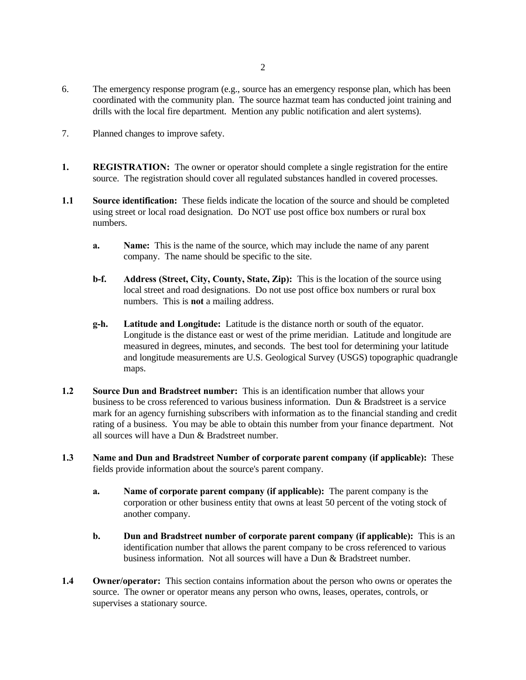- 6. The emergency response program (e.g., source has an emergency response plan, which has been coordinated with the community plan. The source hazmat team has conducted joint training and drills with the local fire department. Mention any public notification and alert systems).
- 7. Planned changes to improve safety.
- **1. REGISTRATION:** The owner or operator should complete a single registration for the entire source. The registration should cover all regulated substances handled in covered processes.
- **1.1 Source identification:** These fields indicate the location of the source and should be completed using street or local road designation. Do NOT use post office box numbers or rural box numbers.
	- **a. Name:** This is the name of the source, which may include the name of any parent company. The name should be specific to the site.
	- **b-f. Address (Street, City, County, State, Zip):** This is the location of the source using local street and road designations. Do not use post office box numbers or rural box numbers. This is **not** a mailing address.
	- **g-h. Latitude and Longitude:** Latitude is the distance north or south of the equator. Longitude is the distance east or west of the prime meridian. Latitude and longitude are measured in degrees, minutes, and seconds. The best tool for determining your latitude and longitude measurements are U.S. Geological Survey (USGS) topographic quadrangle maps.
- **1.2 Source Dun and Bradstreet number:** This is an identification number that allows your business to be cross referenced to various business information. Dun & Bradstreet is a service mark for an agency furnishing subscribers with information as to the financial standing and credit rating of a business. You may be able to obtain this number from your finance department. Not all sources will have a Dun & Bradstreet number.
- **1.3 Name and Dun and Bradstreet Number of corporate parent company (if applicable):** These fields provide information about the source's parent company.
	- **a. Name of corporate parent company (if applicable):** The parent company is the corporation or other business entity that owns at least 50 percent of the voting stock of another company.
	- **b. Dun and Bradstreet number of corporate parent company (if applicable):** This is an identification number that allows the parent company to be cross referenced to various business information. Not all sources will have a Dun & Bradstreet number.
- **1.4 Owner/operator:** This section contains information about the person who owns or operates the source. The owner or operator means any person who owns, leases, operates, controls, or supervises a stationary source.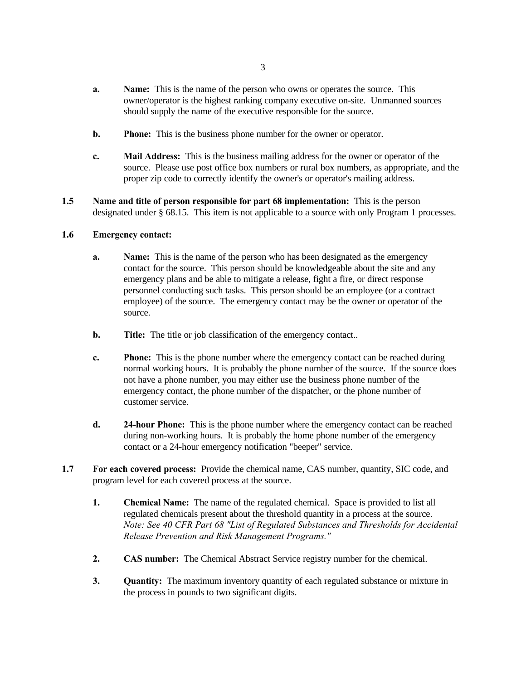- **a. Name:** This is the name of the person who owns or operates the source. This owner/operator is the highest ranking company executive on-site. Unmanned sources should supply the name of the executive responsible for the source.
- **b. Phone:** This is the business phone number for the owner or operator.
- **c. Mail Address:** This is the business mailing address for the owner or operator of the source. Please use post office box numbers or rural box numbers, as appropriate, and the proper zip code to correctly identify the owner's or operator's mailing address.
- **1.5 Name and title of person responsible for part 68 implementation:** This is the person designated under § 68.15. This item is not applicable to a source with only Program 1 processes.

### **1.6 Emergency contact:**

- **a. Name:** This is the name of the person who has been designated as the emergency contact for the source. This person should be knowledgeable about the site and any emergency plans and be able to mitigate a release, fight a fire, or direct response personnel conducting such tasks. This person should be an employee (or a contract employee) of the source. The emergency contact may be the owner or operator of the source.
- **b. Title:** The title or job classification of the emergency contact..
- **c. Phone:** This is the phone number where the emergency contact can be reached during normal working hours. It is probably the phone number of the source. If the source does not have a phone number, you may either use the business phone number of the emergency contact, the phone number of the dispatcher, or the phone number of customer service.
- **d. 24-hour Phone:** This is the phone number where the emergency contact can be reached during non-working hours. It is probably the home phone number of the emergency contact or a 24-hour emergency notification "beeper" service.
- **1.7 For each covered process:** Provide the chemical name, CAS number, quantity, SIC code, and program level for each covered process at the source.
	- **1. Chemical Name:** The name of the regulated chemical. Space is provided to list all regulated chemicals present about the threshold quantity in a process at the source. *Note: See 40 CFR Part 68 "List of Regulated Substances and Thresholds for Accidental Release Prevention and Risk Management Programs."*
	- **2. CAS number:** The Chemical Abstract Service registry number for the chemical.
	- **3. Quantity:** The maximum inventory quantity of each regulated substance or mixture in the process in pounds to two significant digits.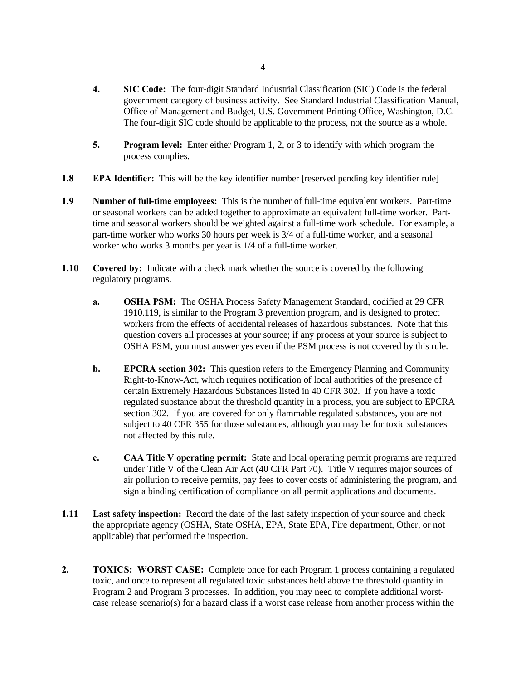- **4. SIC Code:** The four-digit Standard Industrial Classification (SIC) Code is the federal government category of business activity. See Standard Industrial Classification Manual, Office of Management and Budget, U.S. Government Printing Office, Washington, D.C. The four-digit SIC code should be applicable to the process, not the source as a whole.
- **5. Program level:** Enter either Program 1, 2, or 3 to identify with which program the process complies.
- **1.8 EPA Identifier:** This will be the key identifier number [reserved pending key identifier rule]
- **1.9 Number of full-time employees:** This is the number of full-time equivalent workers. Part-time or seasonal workers can be added together to approximate an equivalent full-time worker. Parttime and seasonal workers should be weighted against a full-time work schedule. For example, a part-time worker who works 30 hours per week is 3/4 of a full-time worker, and a seasonal worker who works 3 months per year is 1/4 of a full-time worker.
- **1.10 Covered by:** Indicate with a check mark whether the source is covered by the following regulatory programs.
	- **a. OSHA PSM:** The OSHA Process Safety Management Standard, codified at 29 CFR 1910.119, is similar to the Program 3 prevention program, and is designed to protect workers from the effects of accidental releases of hazardous substances. Note that this question covers all processes at your source; if any process at your source is subject to OSHA PSM, you must answer yes even if the PSM process is not covered by this rule.
	- **b. EPCRA section 302:** This question refers to the Emergency Planning and Community Right-to-Know-Act, which requires notification of local authorities of the presence of certain Extremely Hazardous Substances listed in 40 CFR 302. If you have a toxic regulated substance about the threshold quantity in a process, you are subject to EPCRA section 302. If you are covered for only flammable regulated substances, you are not subject to 40 CFR 355 for those substances, although you may be for toxic substances not affected by this rule.
	- **c. CAA Title V operating permit:** State and local operating permit programs are required under Title V of the Clean Air Act (40 CFR Part 70). Title V requires major sources of air pollution to receive permits, pay fees to cover costs of administering the program, and sign a binding certification of compliance on all permit applications and documents.
- **1.11 Last safety inspection:** Record the date of the last safety inspection of your source and check the appropriate agency (OSHA, State OSHA, EPA, State EPA, Fire department, Other, or not applicable) that performed the inspection.
- **2. TOXICS: WORST CASE:** Complete once for each Program 1 process containing a regulated toxic, and once to represent all regulated toxic substances held above the threshold quantity in Program 2 and Program 3 processes. In addition, you may need to complete additional worstcase release scenario(s) for a hazard class if a worst case release from another process within the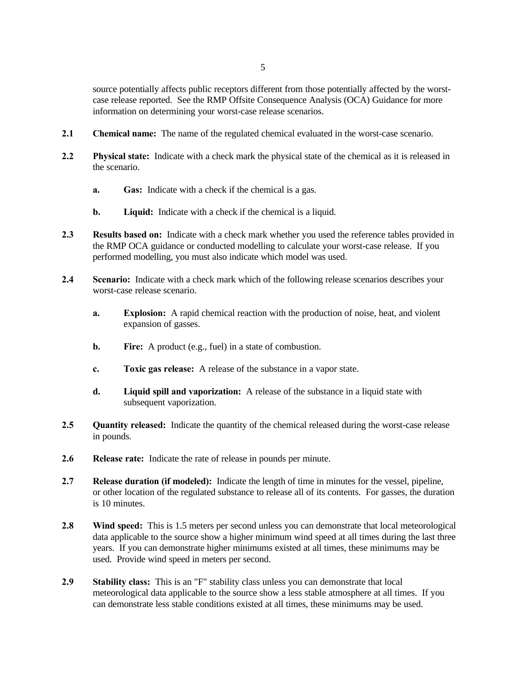source potentially affects public receptors different from those potentially affected by the worstcase release reported. See the RMP Offsite Consequence Analysis (OCA) Guidance for more information on determining your worst-case release scenarios.

- **2.1 Chemical name:** The name of the regulated chemical evaluated in the worst-case scenario.
- **2.2 Physical state:** Indicate with a check mark the physical state of the chemical as it is released in the scenario.
	- **a. Gas:** Indicate with a check if the chemical is a gas.
	- **b. Liquid:** Indicate with a check if the chemical is a liquid.
- **2.3 Results based on:** Indicate with a check mark whether you used the reference tables provided in the RMP OCA guidance or conducted modelling to calculate your worst-case release. If you performed modelling, you must also indicate which model was used.
- **2.4 Scenario:** Indicate with a check mark which of the following release scenarios describes your worst-case release scenario.
	- **a. Explosion:** A rapid chemical reaction with the production of noise, heat, and violent expansion of gasses.
	- **b.** Fire: A product (e.g., fuel) in a state of combustion.
	- **c. Toxic gas release:** A release of the substance in a vapor state.
	- **d. Liquid spill and vaporization:** A release of the substance in a liquid state with subsequent vaporization.
- **2.5 Quantity released:** Indicate the quantity of the chemical released during the worst-case release in pounds.
- **2.6 Release rate:** Indicate the rate of release in pounds per minute.
- **2.7 Release duration (if modeled):** Indicate the length of time in minutes for the vessel, pipeline, or other location of the regulated substance to release all of its contents. For gasses, the duration is 10 minutes.
- **2.8 Wind speed:** This is 1.5 meters per second unless you can demonstrate that local meteorological data applicable to the source show a higher minimum wind speed at all times during the last three years. If you can demonstrate higher minimums existed at all times, these minimums may be used. Provide wind speed in meters per second.
- **2.9 Stability class:** This is an "F" stability class unless you can demonstrate that local meteorological data applicable to the source show a less stable atmosphere at all times. If you can demonstrate less stable conditions existed at all times, these minimums may be used.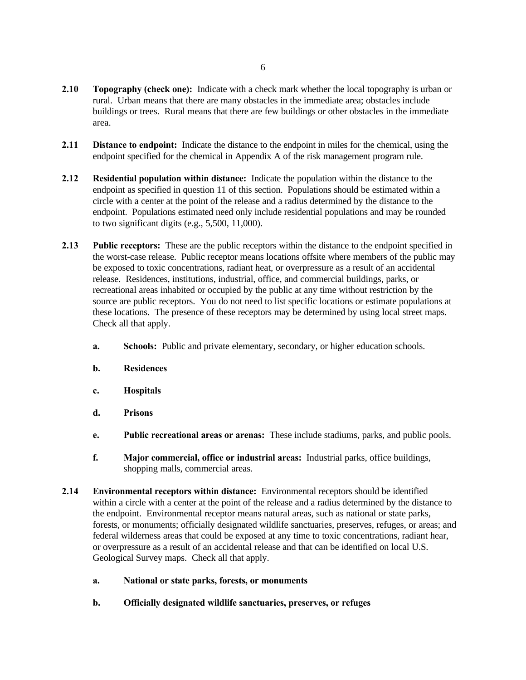- **2.10 Topography (check one):** Indicate with a check mark whether the local topography is urban or rural. Urban means that there are many obstacles in the immediate area; obstacles include buildings or trees. Rural means that there are few buildings or other obstacles in the immediate area.
- **2.11 Distance to endpoint:** Indicate the distance to the endpoint in miles for the chemical, using the endpoint specified for the chemical in Appendix A of the risk management program rule.
- **2.12 Residential population within distance:** Indicate the population within the distance to the endpoint as specified in question 11 of this section. Populations should be estimated within a circle with a center at the point of the release and a radius determined by the distance to the endpoint. Populations estimated need only include residential populations and may be rounded to two significant digits (e.g., 5,500, 11,000).
- **2.13 Public receptors:** These are the public receptors within the distance to the endpoint specified in the worst-case release. Public receptor means locations offsite where members of the public may be exposed to toxic concentrations, radiant heat, or overpressure as a result of an accidental release. Residences, institutions, industrial, office, and commercial buildings, parks, or recreational areas inhabited or occupied by the public at any time without restriction by the source are public receptors. You do not need to list specific locations or estimate populations at these locations. The presence of these receptors may be determined by using local street maps. Check all that apply.
	- **a. Schools:** Public and private elementary, secondary, or higher education schools.
	- **b. Residences**
	- **c. Hospitals**
	- **d. Prisons**
	- **e. Public recreational areas or arenas:** These include stadiums, parks, and public pools.
	- **f. Major commercial, office or industrial areas:** Industrial parks, office buildings, shopping malls, commercial areas.
- **2.14 Environmental receptors within distance:** Environmental receptors should be identified within a circle with a center at the point of the release and a radius determined by the distance to the endpoint. Environmental receptor means natural areas, such as national or state parks, forests, or monuments; officially designated wildlife sanctuaries, preserves, refuges, or areas; and federal wilderness areas that could be exposed at any time to toxic concentrations, radiant hear, or overpressure as a result of an accidental release and that can be identified on local U.S. Geological Survey maps. Check all that apply.
	- **a. National or state parks, forests, or monuments**
	- **b. Officially designated wildlife sanctuaries, preserves, or refuges**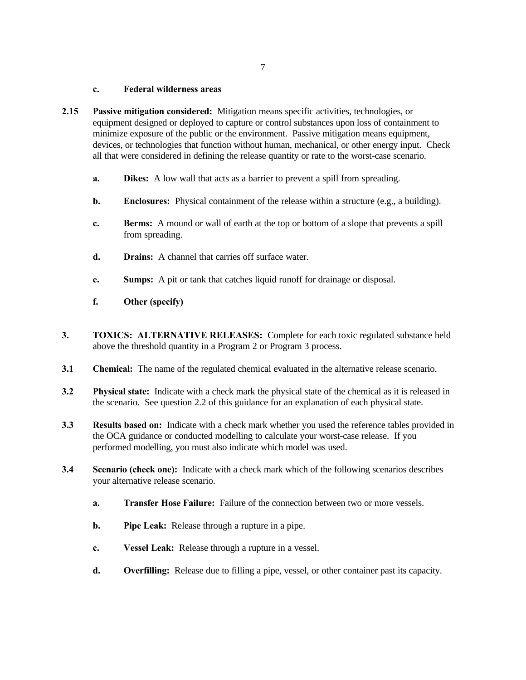### **c. Federal wilderness areas**

- **2.15 Passive mitigation considered:** Mitigation means specific activities, technologies, or equipment designed or deployed to capture or control substances upon loss of containment to minimize exposure of the public or the environment. Passive mitigation means equipment, devices, or technologies that function without human, mechanical, or other energy input. Check all that were considered in defining the release quantity or rate to the worst-case scenario.
	- **a. Dikes:** A low wall that acts as a barrier to prevent a spill from spreading.
	- **b. Enclosures:** Physical containment of the release within a structure (e.g., a building).
	- **c. Berms:** A mound or wall of earth at the top or bottom of a slope that prevents a spill from spreading.
	- **d. Drains:** A channel that carries off surface water.
	- **e. Sumps:** A pit or tank that catches liquid runoff for drainage or disposal.
	- **f. Other (specify)**
- **3. TOXICS: ALTERNATIVE RELEASES:** Complete for each toxic regulated substance held above the threshold quantity in a Program 2 or Program 3 process.
- **3.1 Chemical:** The name of the regulated chemical evaluated in the alternative release scenario.
- **3.2 Physical state:** Indicate with a check mark the physical state of the chemical as it is released in the scenario. See question 2.2 of this guidance for an explanation of each physical state.
- **3.3 Results based on:** Indicate with a check mark whether you used the reference tables provided in the OCA guidance or conducted modelling to calculate your worst-case release. If you performed modelling, you must also indicate which model was used.
- **3.4 Scenario (check one):** Indicate with a check mark which of the following scenarios describes your alternative release scenario.
	- **a. Transfer Hose Failure:** Failure of the connection between two or more vessels.
	- **b. Pipe Leak:** Release through a rupture in a pipe.
	- **c. Vessel Leak:** Release through a rupture in a vessel.
	- **d. Overfilling:** Release due to filling a pipe, vessel, or other container past its capacity.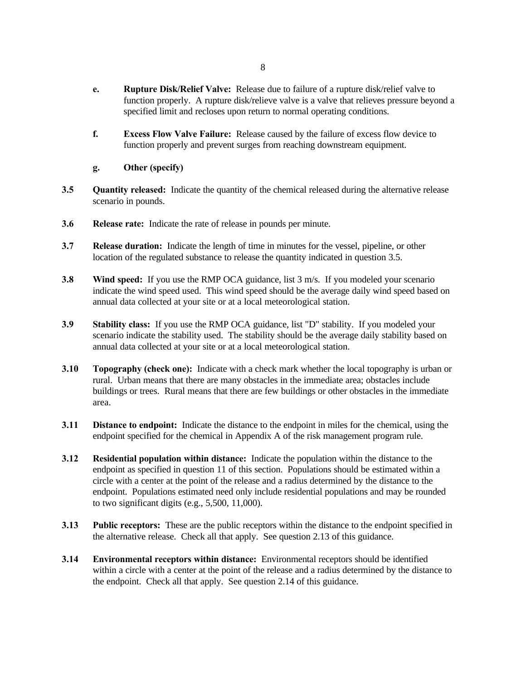- **e. Rupture Disk/Relief Valve:** Release due to failure of a rupture disk/relief valve to function properly. A rupture disk/relieve valve is a valve that relieves pressure beyond a specified limit and recloses upon return to normal operating conditions.
- **f. Excess Flow Valve Failure:** Release caused by the failure of excess flow device to function properly and prevent surges from reaching downstream equipment.
- **g. Other (specify)**
- **3.5 Quantity released:** Indicate the quantity of the chemical released during the alternative release scenario in pounds.
- **3.6 Release rate:** Indicate the rate of release in pounds per minute.
- **3.7 Release duration:** Indicate the length of time in minutes for the vessel, pipeline, or other location of the regulated substance to release the quantity indicated in question 3.5.
- **3.8 Wind speed:** If you use the RMP OCA guidance, list 3 m/s. If you modeled your scenario indicate the wind speed used. This wind speed should be the average daily wind speed based on annual data collected at your site or at a local meteorological station.
- **3.9 Stability class:** If you use the RMP OCA guidance, list "D" stability. If you modeled your scenario indicate the stability used. The stability should be the average daily stability based on annual data collected at your site or at a local meteorological station.
- **3.10 Topography (check one):** Indicate with a check mark whether the local topography is urban or rural. Urban means that there are many obstacles in the immediate area; obstacles include buildings or trees. Rural means that there are few buildings or other obstacles in the immediate area.
- **3.11 Distance to endpoint:** Indicate the distance to the endpoint in miles for the chemical, using the endpoint specified for the chemical in Appendix A of the risk management program rule.
- **3.12 Residential population within distance:** Indicate the population within the distance to the endpoint as specified in question 11 of this section. Populations should be estimated within a circle with a center at the point of the release and a radius determined by the distance to the endpoint. Populations estimated need only include residential populations and may be rounded to two significant digits (e.g.,  $5,500, 11,000$ ).
- **3.13 Public receptors:** These are the public receptors within the distance to the endpoint specified in the alternative release. Check all that apply. See question 2.13 of this guidance.
- **3.14 Environmental receptors within distance:** Environmental receptors should be identified within a circle with a center at the point of the release and a radius determined by the distance to the endpoint. Check all that apply. See question 2.14 of this guidance.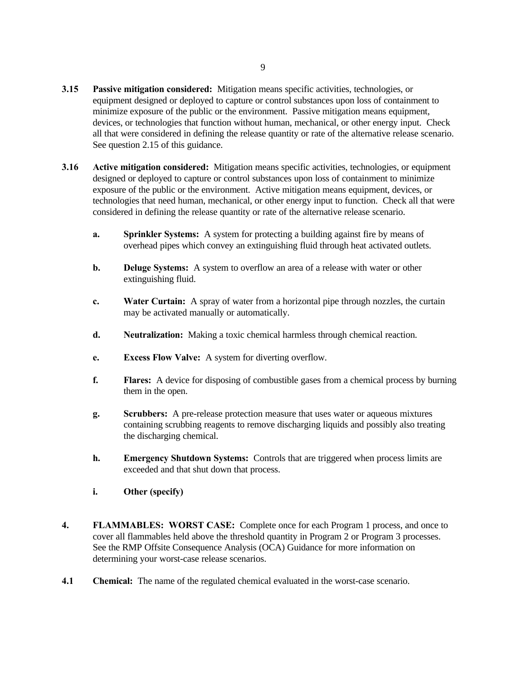- **3.15 Passive mitigation considered:** Mitigation means specific activities, technologies, or equipment designed or deployed to capture or control substances upon loss of containment to minimize exposure of the public or the environment. Passive mitigation means equipment, devices, or technologies that function without human, mechanical, or other energy input. Check all that were considered in defining the release quantity or rate of the alternative release scenario. See question 2.15 of this guidance.
- **3.16 Active mitigation considered:** Mitigation means specific activities, technologies, or equipment designed or deployed to capture or control substances upon loss of containment to minimize exposure of the public or the environment. Active mitigation means equipment, devices, or technologies that need human, mechanical, or other energy input to function. Check all that were considered in defining the release quantity or rate of the alternative release scenario.
	- **a. Sprinkler Systems:** A system for protecting a building against fire by means of overhead pipes which convey an extinguishing fluid through heat activated outlets.
	- **b. Deluge Systems:** A system to overflow an area of a release with water or other extinguishing fluid.
	- **c. Water Curtain:** A spray of water from a horizontal pipe through nozzles, the curtain may be activated manually or automatically.
	- **d. Neutralization:** Making a toxic chemical harmless through chemical reaction.
	- **e. Excess Flow Valve:** A system for diverting overflow.
	- **f. Flares:** A device for disposing of combustible gases from a chemical process by burning them in the open.
	- **g. Scrubbers:** A pre-release protection measure that uses water or aqueous mixtures containing scrubbing reagents to remove discharging liquids and possibly also treating the discharging chemical.
	- **h. Emergency Shutdown Systems:** Controls that are triggered when process limits are exceeded and that shut down that process.
	- **i. Other (specify)**
- **4. FLAMMABLES: WORST CASE:** Complete once for each Program 1 process, and once to cover all flammables held above the threshold quantity in Program 2 or Program 3 processes. See the RMP Offsite Consequence Analysis (OCA) Guidance for more information on determining your worst-case release scenarios.
- **4.1 Chemical:** The name of the regulated chemical evaluated in the worst-case scenario.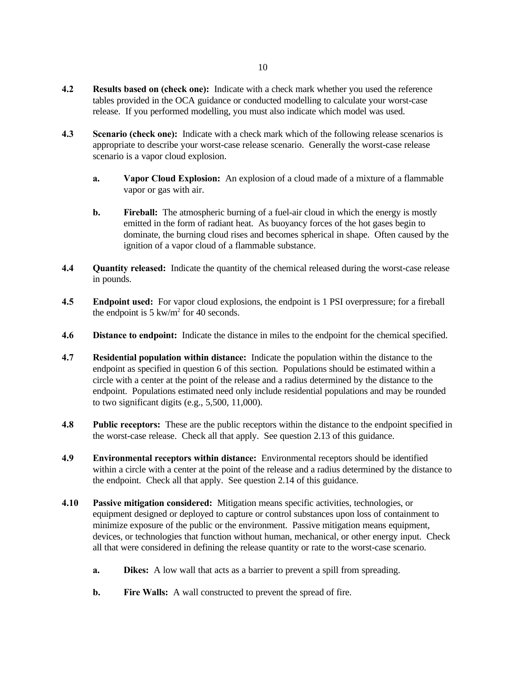- **4.2 Results based on (check one):** Indicate with a check mark whether you used the reference tables provided in the OCA guidance or conducted modelling to calculate your worst-case release. If you performed modelling, you must also indicate which model was used.
- **4.3 Scenario (check one):** Indicate with a check mark which of the following release scenarios is appropriate to describe your worst-case release scenario. Generally the worst-case release scenario is a vapor cloud explosion.
	- **a. Vapor Cloud Explosion:** An explosion of a cloud made of a mixture of a flammable vapor or gas with air.
	- **b. Fireball:** The atmospheric burning of a fuel-air cloud in which the energy is mostly emitted in the form of radiant heat. As buoyancy forces of the hot gases begin to dominate, the burning cloud rises and becomes spherical in shape. Often caused by the ignition of a vapor cloud of a flammable substance.
- **4.4 Quantity released:** Indicate the quantity of the chemical released during the worst-case release in pounds.
- **4.5 Endpoint used:** For vapor cloud explosions, the endpoint is 1 PSI overpressure; for a fireball the endpoint is  $5 \text{ kw/m}^2$  for 40 seconds.
- **4.6 Distance to endpoint:** Indicate the distance in miles to the endpoint for the chemical specified.
- **4.7 Residential population within distance:** Indicate the population within the distance to the endpoint as specified in question 6 of this section. Populations should be estimated within a circle with a center at the point of the release and a radius determined by the distance to the endpoint. Populations estimated need only include residential populations and may be rounded to two significant digits (e.g., 5,500, 11,000).
- **4.8 Public receptors:** These are the public receptors within the distance to the endpoint specified in the worst-case release. Check all that apply. See question 2.13 of this guidance.
- **4.9 Environmental receptors within distance:** Environmental receptors should be identified within a circle with a center at the point of the release and a radius determined by the distance to the endpoint. Check all that apply. See question 2.14 of this guidance.
- **4.10 Passive mitigation considered:** Mitigation means specific activities, technologies, or equipment designed or deployed to capture or control substances upon loss of containment to minimize exposure of the public or the environment. Passive mitigation means equipment, devices, or technologies that function without human, mechanical, or other energy input. Check all that were considered in defining the release quantity or rate to the worst-case scenario.
	- **a. Dikes:** A low wall that acts as a barrier to prevent a spill from spreading.
	- **b.** Fire Walls: A wall constructed to prevent the spread of fire.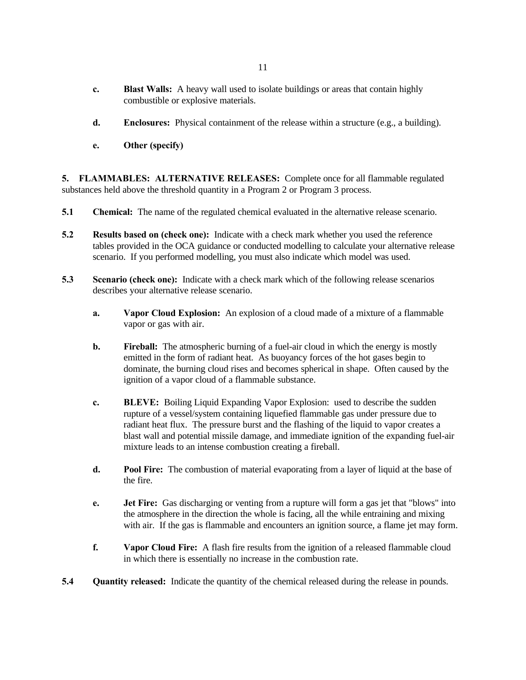- **c. Blast Walls:** A heavy wall used to isolate buildings or areas that contain highly combustible or explosive materials.
- **d. Enclosures:** Physical containment of the release within a structure (e.g., a building).
- **e. Other (specify)**

**5. FLAMMABLES: ALTERNATIVE RELEASES:** Complete once for all flammable regulated substances held above the threshold quantity in a Program 2 or Program 3 process.

- **5.1 Chemical:** The name of the regulated chemical evaluated in the alternative release scenario.
- **5.2 Results based on (check one):** Indicate with a check mark whether you used the reference tables provided in the OCA guidance or conducted modelling to calculate your alternative release scenario. If you performed modelling, you must also indicate which model was used.
- **5.3 Scenario (check one):** Indicate with a check mark which of the following release scenarios describes your alternative release scenario.
	- **a. Vapor Cloud Explosion:** An explosion of a cloud made of a mixture of a flammable vapor or gas with air.
	- **b. Fireball:** The atmospheric burning of a fuel-air cloud in which the energy is mostly emitted in the form of radiant heat. As buoyancy forces of the hot gases begin to dominate, the burning cloud rises and becomes spherical in shape. Often caused by the ignition of a vapor cloud of a flammable substance.
	- **c. BLEVE:** Boiling Liquid Expanding Vapor Explosion: used to describe the sudden rupture of a vessel/system containing liquefied flammable gas under pressure due to radiant heat flux. The pressure burst and the flashing of the liquid to vapor creates a blast wall and potential missile damage, and immediate ignition of the expanding fuel-air mixture leads to an intense combustion creating a fireball.
	- **d. Pool Fire:** The combustion of material evaporating from a layer of liquid at the base of the fire.
	- **e. Jet Fire:** Gas discharging or venting from a rupture will form a gas jet that "blows" into the atmosphere in the direction the whole is facing, all the while entraining and mixing with air. If the gas is flammable and encounters an ignition source, a flame jet may form.
	- **f. Vapor Cloud Fire:** A flash fire results from the ignition of a released flammable cloud in which there is essentially no increase in the combustion rate.
- **5.4 Quantity released:** Indicate the quantity of the chemical released during the release in pounds.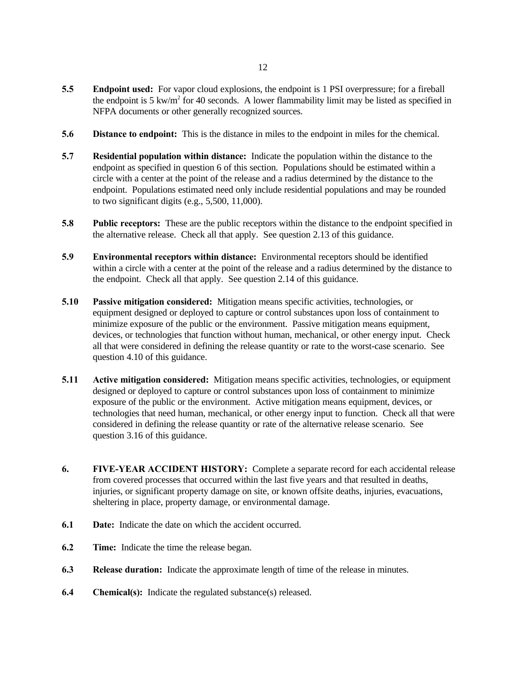- **5.5 Endpoint used:** For vapor cloud explosions, the endpoint is 1 PSI overpressure; for a fireball the endpoint is 5 kw/m<sup>2</sup> for 40 seconds. A lower flammability limit may be listed as specified in NFPA documents or other generally recognized sources.
- **5.6 Distance to endpoint:** This is the distance in miles to the endpoint in miles for the chemical.
- **5.7 Residential population within distance:** Indicate the population within the distance to the endpoint as specified in question 6 of this section. Populations should be estimated within a circle with a center at the point of the release and a radius determined by the distance to the endpoint. Populations estimated need only include residential populations and may be rounded to two significant digits (e.g.,  $5,500, 11,000$ ).
- **5.8 Public receptors:** These are the public receptors within the distance to the endpoint specified in the alternative release. Check all that apply. See question 2.13 of this guidance.
- **5.9 Environmental receptors within distance:** Environmental receptors should be identified within a circle with a center at the point of the release and a radius determined by the distance to the endpoint. Check all that apply. See question 2.14 of this guidance.
- **5.10 Passive mitigation considered:** Mitigation means specific activities, technologies, or equipment designed or deployed to capture or control substances upon loss of containment to minimize exposure of the public or the environment. Passive mitigation means equipment, devices, or technologies that function without human, mechanical, or other energy input. Check all that were considered in defining the release quantity or rate to the worst-case scenario. See question 4.10 of this guidance.
- **5.11 Active mitigation considered:** Mitigation means specific activities, technologies, or equipment designed or deployed to capture or control substances upon loss of containment to minimize exposure of the public or the environment. Active mitigation means equipment, devices, or technologies that need human, mechanical, or other energy input to function. Check all that were considered in defining the release quantity or rate of the alternative release scenario. See question 3.16 of this guidance.
- **6. FIVE-YEAR ACCIDENT HISTORY:** Complete a separate record for each accidental release from covered processes that occurred within the last five years and that resulted in deaths, injuries, or significant property damage on site, or known offsite deaths, injuries, evacuations, sheltering in place, property damage, or environmental damage.
- **6.1 Date:** Indicate the date on which the accident occurred.
- **6.2 Time:** Indicate the time the release began.
- **6.3 Release duration:** Indicate the approximate length of time of the release in minutes.
- **6.4 Chemical(s):** Indicate the regulated substance(s) released.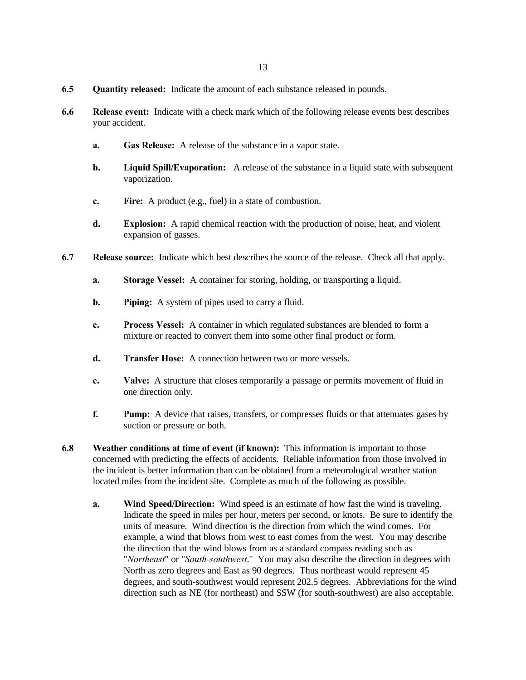- **6.5 Quantity released:** Indicate the amount of each substance released in pounds.
- **6.6 Release event:** Indicate with a check mark which of the following release events best describes your accident.
	- **a. Gas Release:** A release of the substance in a vapor state.
	- **b. Liquid Spill/Evaporation:** A release of the substance in a liquid state with subsequent vaporization.
	- **c. Fire:** A product (e.g., fuel) in a state of combustion.
	- **d. Explosion:** A rapid chemical reaction with the production of noise, heat, and violent expansion of gasses.
- **6.7 Release source:** Indicate which best describes the source of the release. Check all that apply.
	- **a. Storage Vessel:** A container for storing, holding, or transporting a liquid.
	- **b. Piping:** A system of pipes used to carry a fluid.
	- **c. Process Vessel:** A container in which regulated substances are blended to form a mixture or reacted to convert them into some other final product or form.
	- **d. Transfer Hose:** A connection between two or more vessels.
	- **e. Valve:** A structure that closes temporarily a passage or permits movement of fluid in one direction only.
	- **f. Pump:** A device that raises, transfers, or compresses fluids or that attenuates gases by suction or pressure or both.
- **6.8 Weather conditions at time of event (if known):** This information is important to those concerned with predicting the effects of accidents. Reliable information from those involved in the incident is better information than can be obtained from a meteorological weather station located miles from the incident site. Complete as much of the following as possible.
	- **a.** Wind Speed/Direction: Wind speed is an estimate of how fast the wind is traveling. Indicate the speed in miles per hour, meters per second, or knots. Be sure to identify the units of measure. Wind direction is the direction from which the wind comes. For example, a wind that blows from west to east comes from the west. You may describe the direction that the wind blows from as a standard compass reading such as "*Northeast*" or "*South-southwest*." You may also describe the direction in degrees with North as zero degrees and East as 90 degrees. Thus northeast would represent 45 degrees, and south-southwest would represent 202.5 degrees. Abbreviations for the wind direction such as NE (for northeast) and SSW (for south-southwest) are also acceptable.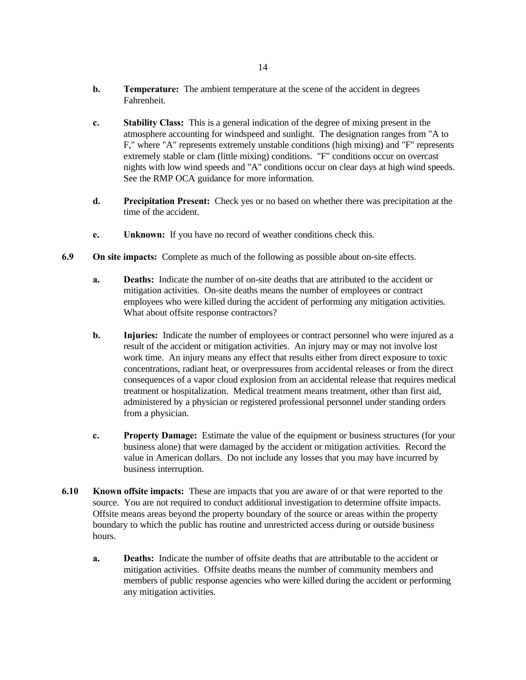- **b. Temperature:** The ambient temperature at the scene of the accident in degrees Fahrenheit.
- **c. Stability Class:** This is a general indication of the degree of mixing present in the atmosphere accounting for windspeed and sunlight. The designation ranges from "A to F," where "A" represents extremely unstable conditions (high mixing) and "F" represents extremely stable or clam (little mixing) conditions. "F" conditions occur on overcast nights with low wind speeds and "A" conditions occur on clear days at high wind speeds. See the RMP OCA guidance for more information.
- **d. Precipitation Present:** Check yes or no based on whether there was precipitation at the time of the accident.
- **e. Unknown:** If you have no record of weather conditions check this.
- **6.9 On site impacts:** Complete as much of the following as possible about on-site effects.
	- **a. Deaths:** Indicate the number of on-site deaths that are attributed to the accident or mitigation activities. On-site deaths means the number of employees or contract employees who were killed during the accident of performing any mitigation activities. What about offsite response contractors?
	- **b. Injuries:** Indicate the number of employees or contract personnel who were injured as a result of the accident or mitigation activities. An injury may or may not involve lost work time. An injury means any effect that results either from direct exposure to toxic concentrations, radiant heat, or overpressures from accidental releases or from the direct consequences of a vapor cloud explosion from an accidental release that requires medical treatment or hospitalization. Medical treatment means treatment, other than first aid, administered by a physician or registered professional personnel under standing orders from a physician.
	- **c. Property Damage:** Estimate the value of the equipment or business structures (for your business alone) that were damaged by the accident or mitigation activities. Record the value in American dollars. Do not include any losses that you may have incurred by business interruption.
- **6.10 Known offsite impacts:** These are impacts that you are aware of or that were reported to the source. You are not required to conduct additional investigation to determine offsite impacts. Offsite means areas beyond the property boundary of the source or areas within the property boundary to which the public has routine and unrestricted access during or outside business hours.
	- **a. Deaths:** Indicate the number of offsite deaths that are attributable to the accident or mitigation activities. Offsite deaths means the number of community members and members of public response agencies who were killed during the accident or performing any mitigation activities.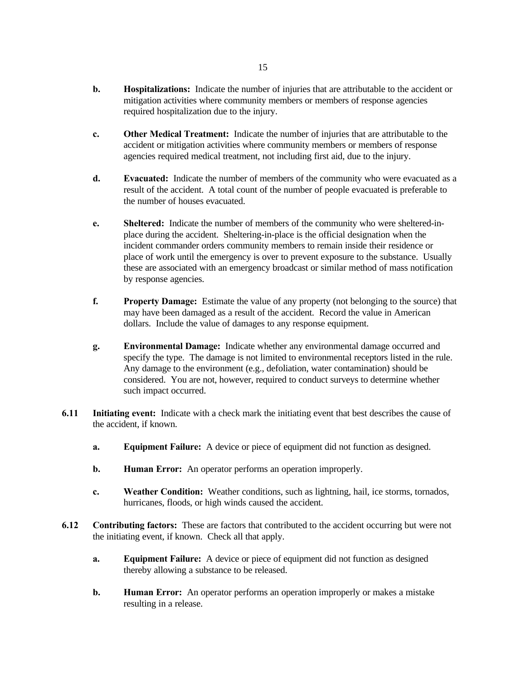- **b. Hospitalizations:** Indicate the number of injuries that are attributable to the accident or mitigation activities where community members or members of response agencies required hospitalization due to the injury.
- **c. Other Medical Treatment:** Indicate the number of injuries that are attributable to the accident or mitigation activities where community members or members of response agencies required medical treatment, not including first aid, due to the injury.
- **d. Evacuated:** Indicate the number of members of the community who were evacuated as a result of the accident. A total count of the number of people evacuated is preferable to the number of houses evacuated.
- **e. Sheltered:** Indicate the number of members of the community who were sheltered-inplace during the accident. Sheltering-in-place is the official designation when the incident commander orders community members to remain inside their residence or place of work until the emergency is over to prevent exposure to the substance. Usually these are associated with an emergency broadcast or similar method of mass notification by response agencies.
- **f. Property Damage:** Estimate the value of any property (not belonging to the source) that may have been damaged as a result of the accident. Record the value in American dollars. Include the value of damages to any response equipment.
- **g. Environmental Damage:** Indicate whether any environmental damage occurred and specify the type. The damage is not limited to environmental receptors listed in the rule. Any damage to the environment (e.g., defoliation, water contamination) should be considered. You are not, however, required to conduct surveys to determine whether such impact occurred.
- **6.11 Initiating event:** Indicate with a check mark the initiating event that best describes the cause of the accident, if known.
	- **a. Equipment Failure:** A device or piece of equipment did not function as designed.
	- **b. Human Error:** An operator performs an operation improperly.
	- **c. Weather Condition:** Weather conditions, such as lightning, hail, ice storms, tornados, hurricanes, floods, or high winds caused the accident.
- **6.12 Contributing factors:** These are factors that contributed to the accident occurring but were not the initiating event, if known. Check all that apply.
	- **a. Equipment Failure:** A device or piece of equipment did not function as designed thereby allowing a substance to be released.
	- **b. Human Error:** An operator performs an operation improperly or makes a mistake resulting in a release.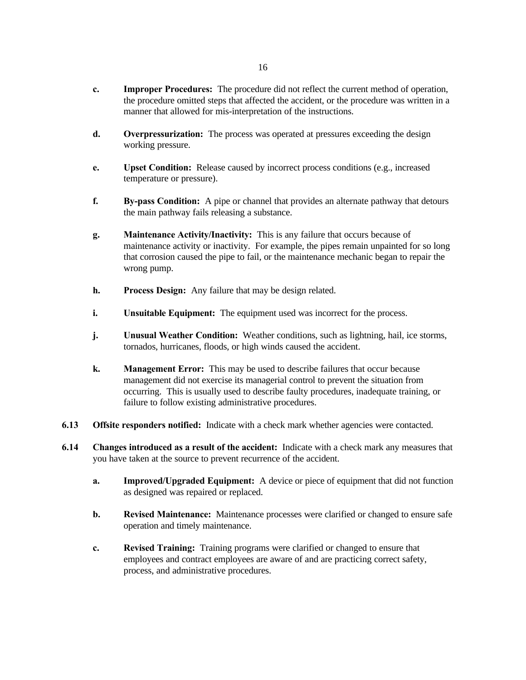- **c. Improper Procedures:** The procedure did not reflect the current method of operation, the procedure omitted steps that affected the accident, or the procedure was written in a manner that allowed for mis-interpretation of the instructions.
- **d. Overpressurization:** The process was operated at pressures exceeding the design working pressure.
- **e. Upset Condition:** Release caused by incorrect process conditions (e.g., increased temperature or pressure).
- **f. By-pass Condition:** A pipe or channel that provides an alternate pathway that detours the main pathway fails releasing a substance.
- **g. Maintenance Activity/Inactivity:** This is any failure that occurs because of maintenance activity or inactivity. For example, the pipes remain unpainted for so long that corrosion caused the pipe to fail, or the maintenance mechanic began to repair the wrong pump.
- **h. Process Design:** Any failure that may be design related.
- **i. Unsuitable Equipment:** The equipment used was incorrect for the process.
- **j. Unusual Weather Condition:** Weather conditions, such as lightning, hail, ice storms, tornados, hurricanes, floods, or high winds caused the accident.
- **k. Management Error:** This may be used to describe failures that occur because management did not exercise its managerial control to prevent the situation from occurring. This is usually used to describe faulty procedures, inadequate training, or failure to follow existing administrative procedures.
- **6.13 Offsite responders notified:** Indicate with a check mark whether agencies were contacted.
- **6.14 Changes introduced as a result of the accident:** Indicate with a check mark any measures that you have taken at the source to prevent recurrence of the accident.
	- **a. Improved/Upgraded Equipment:** A device or piece of equipment that did not function as designed was repaired or replaced.
	- **b. Revised Maintenance:** Maintenance processes were clarified or changed to ensure safe operation and timely maintenance.
	- **c. Revised Training:** Training programs were clarified or changed to ensure that employees and contract employees are aware of and are practicing correct safety, process, and administrative procedures.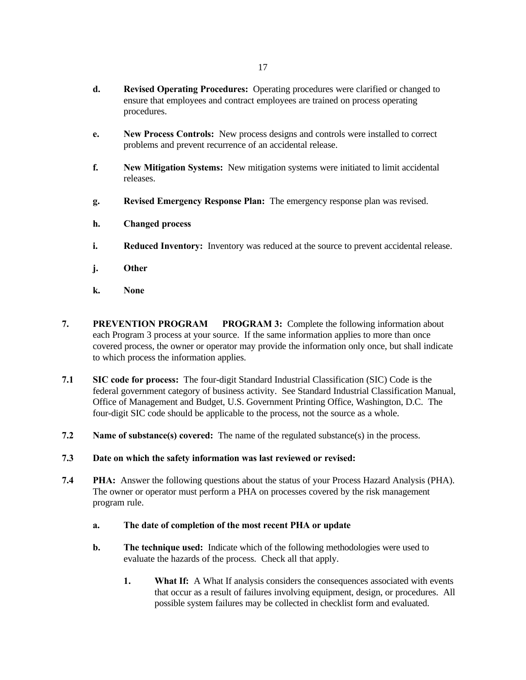- **d. Revised Operating Procedures:** Operating procedures were clarified or changed to ensure that employees and contract employees are trained on process operating procedures.
- **e. New Process Controls:** New process designs and controls were installed to correct problems and prevent recurrence of an accidental release.
- **f. New Mitigation Systems:** New mitigation systems were initiated to limit accidental releases.
- **g. Revised Emergency Response Plan:** The emergency response plan was revised.
- **h. Changed process**
- **i. Reduced Inventory:** Inventory was reduced at the source to prevent accidental release.
- **j. Other**
- **k. None**
- **7. PREVENTION PROGRAM PROGRAM 3:** Complete the following information about each Program 3 process at your source. If the same information applies to more than once covered process, the owner or operator may provide the information only once, but shall indicate to which process the information applies.
- **7.1 SIC code for process:** The four-digit Standard Industrial Classification (SIC) Code is the federal government category of business activity. See Standard Industrial Classification Manual, Office of Management and Budget, U.S. Government Printing Office, Washington, D.C. The four-digit SIC code should be applicable to the process, not the source as a whole.
- **7.2 Name of substance(s) covered:** The name of the regulated substance(s) in the process.
- **7.3 Date on which the safety information was last reviewed or revised:**
- **7.4 PHA:** Answer the following questions about the status of your Process Hazard Analysis (PHA). The owner or operator must perform a PHA on processes covered by the risk management program rule.
	- **a. The date of completion of the most recent PHA or update**
	- **b. The technique used:** Indicate which of the following methodologies were used to evaluate the hazards of the process. Check all that apply.
		- **1. What If:** A What If analysis considers the consequences associated with events that occur as a result of failures involving equipment, design, or procedures. All possible system failures may be collected in checklist form and evaluated.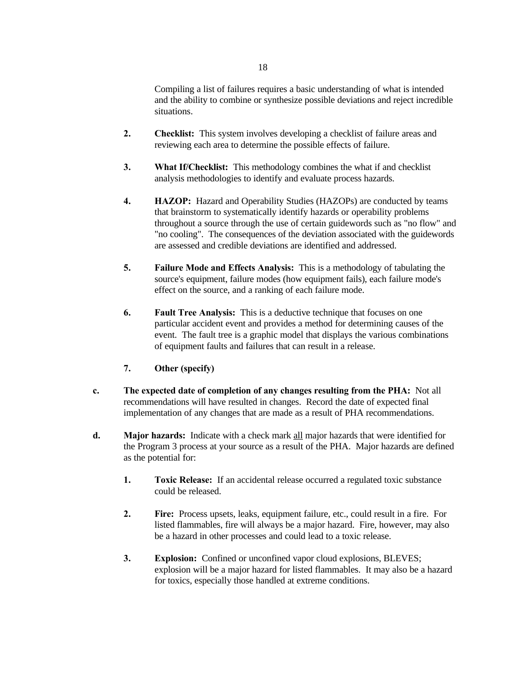- **2. Checklist:** This system involves developing a checklist of failure areas and reviewing each area to determine the possible effects of failure.
- **3. What If/Checklist:** This methodology combines the what if and checklist analysis methodologies to identify and evaluate process hazards.
- **4. HAZOP:** Hazard and Operability Studies (HAZOPs) are conducted by teams that brainstorm to systematically identify hazards or operability problems throughout a source through the use of certain guidewords such as "no flow" and "no cooling". The consequences of the deviation associated with the guidewords are assessed and credible deviations are identified and addressed.
- **5. Failure Mode and Effects Analysis:** This is a methodology of tabulating the source's equipment, failure modes (how equipment fails), each failure mode's effect on the source, and a ranking of each failure mode.
- **6. Fault Tree Analysis:** This is a deductive technique that focuses on one particular accident event and provides a method for determining causes of the event. The fault tree is a graphic model that displays the various combinations of equipment faults and failures that can result in a release.
- **7. Other (specify)**

situations.

- **c. The expected date of completion of any changes resulting from the PHA:** Not all recommendations will have resulted in changes. Record the date of expected final implementation of any changes that are made as a result of PHA recommendations.
- **d. Major hazards:** Indicate with a check mark all major hazards that were identified for the Program 3 process at your source as a result of the PHA. Major hazards are defined as the potential for:
	- **1. Toxic Release:** If an accidental release occurred a regulated toxic substance could be released.
	- **2. Fire:** Process upsets, leaks, equipment failure, etc., could result in a fire. For listed flammables, fire will always be a major hazard. Fire, however, may also be a hazard in other processes and could lead to a toxic release.
	- **3. Explosion:** Confined or unconfined vapor cloud explosions, BLEVES; explosion will be a major hazard for listed flammables. It may also be a hazard for toxics, especially those handled at extreme conditions.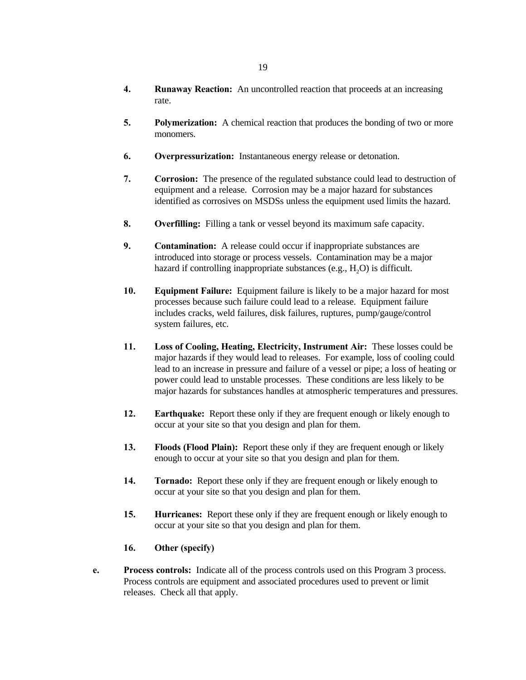- **4. Runaway Reaction:** An uncontrolled reaction that proceeds at an increasing rate.
- **5. Polymerization:** A chemical reaction that produces the bonding of two or more monomers.
- **6. Overpressurization:** Instantaneous energy release or detonation.
- **7. Corrosion:** The presence of the regulated substance could lead to destruction of equipment and a release. Corrosion may be a major hazard for substances identified as corrosives on MSDSs unless the equipment used limits the hazard.
- **8. Overfilling:** Filling a tank or vessel beyond its maximum safe capacity.
- **9. Contamination:** A release could occur if inappropriate substances are introduced into storage or process vessels. Contamination may be a major hazard if controlling inappropriate substances (e.g.,  $H_2O$ ) is difficult.
- **10. Equipment Failure:** Equipment failure is likely to be a major hazard for most processes because such failure could lead to a release. Equipment failure includes cracks, weld failures, disk failures, ruptures, pump/gauge/control system failures, etc.
- **11. Loss of Cooling, Heating, Electricity, Instrument Air:** These losses could be major hazards if they would lead to releases. For example, loss of cooling could lead to an increase in pressure and failure of a vessel or pipe; a loss of heating or power could lead to unstable processes. These conditions are less likely to be major hazards for substances handles at atmospheric temperatures and pressures.
- **12. Earthquake:** Report these only if they are frequent enough or likely enough to occur at your site so that you design and plan for them.
- **13. Floods (Flood Plain):** Report these only if they are frequent enough or likely enough to occur at your site so that you design and plan for them.
- **14. Tornado:** Report these only if they are frequent enough or likely enough to occur at your site so that you design and plan for them.
- **15. Hurricanes:** Report these only if they are frequent enough or likely enough to occur at your site so that you design and plan for them.

# **16. Other (specify)**

**e. Process controls:** Indicate all of the process controls used on this Program 3 process. Process controls are equipment and associated procedures used to prevent or limit releases. Check all that apply.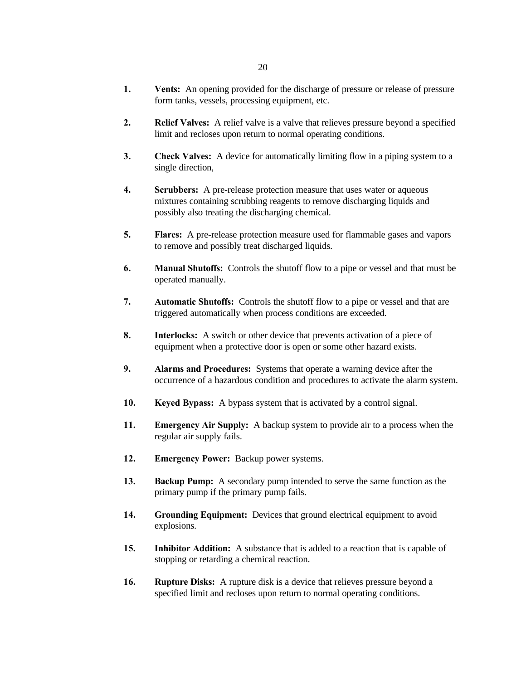- **1. Vents:** An opening provided for the discharge of pressure or release of pressure form tanks, vessels, processing equipment, etc.
- **2. Relief Valves:** A relief valve is a valve that relieves pressure beyond a specified limit and recloses upon return to normal operating conditions.
- **3. Check Valves:** A device for automatically limiting flow in a piping system to a single direction,
- **4. Scrubbers:** A pre-release protection measure that uses water or aqueous mixtures containing scrubbing reagents to remove discharging liquids and possibly also treating the discharging chemical.
- **5. Flares:** A pre-release protection measure used for flammable gases and vapors to remove and possibly treat discharged liquids.
- **6. Manual Shutoffs:** Controls the shutoff flow to a pipe or vessel and that must be operated manually.
- **7. Automatic Shutoffs:** Controls the shutoff flow to a pipe or vessel and that are triggered automatically when process conditions are exceeded.
- **8. Interlocks:** A switch or other device that prevents activation of a piece of equipment when a protective door is open or some other hazard exists.
- **9. Alarms and Procedures:** Systems that operate a warning device after the occurrence of a hazardous condition and procedures to activate the alarm system.
- **10. Keyed Bypass:** A bypass system that is activated by a control signal.
- **11. Emergency Air Supply:** A backup system to provide air to a process when the regular air supply fails.
- **12. Emergency Power:** Backup power systems.
- **13. Backup Pump:** A secondary pump intended to serve the same function as the primary pump if the primary pump fails.
- **14. Grounding Equipment:** Devices that ground electrical equipment to avoid explosions.
- **15. Inhibitor Addition:** A substance that is added to a reaction that is capable of stopping or retarding a chemical reaction.
- **16. Rupture Disks:** A rupture disk is a device that relieves pressure beyond a specified limit and recloses upon return to normal operating conditions.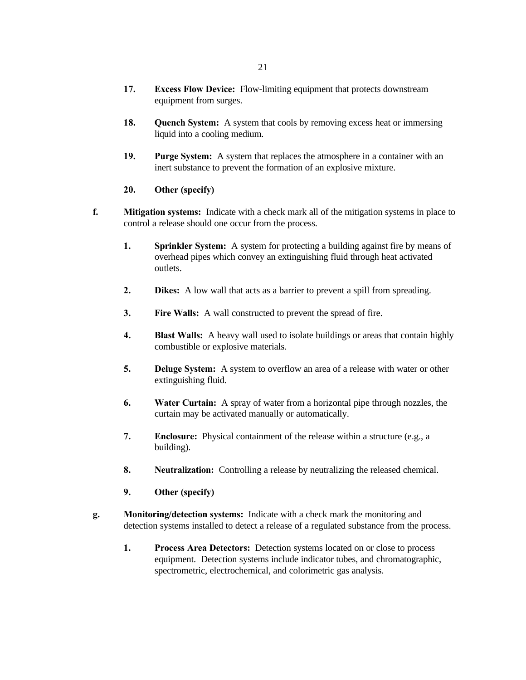- **17. Excess Flow Device:** Flow-limiting equipment that protects downstream equipment from surges.
- **18. Quench System:** A system that cools by removing excess heat or immersing liquid into a cooling medium.
- **19. Purge System:** A system that replaces the atmosphere in a container with an inert substance to prevent the formation of an explosive mixture.
- **20. Other (specify)**
- **f. Mitigation systems:** Indicate with a check mark all of the mitigation systems in place to control a release should one occur from the process.
	- **1. Sprinkler System:** A system for protecting a building against fire by means of overhead pipes which convey an extinguishing fluid through heat activated outlets.
	- **2. Dikes:** A low wall that acts as a barrier to prevent a spill from spreading.
	- **3. Fire Walls:** A wall constructed to prevent the spread of fire.
	- **4. Blast Walls:** A heavy wall used to isolate buildings or areas that contain highly combustible or explosive materials.
	- **5. Deluge System:** A system to overflow an area of a release with water or other extinguishing fluid.
	- **6. Water Curtain:** A spray of water from a horizontal pipe through nozzles, the curtain may be activated manually or automatically.
	- **7. Enclosure:** Physical containment of the release within a structure (e.g., a building).
	- **8. Neutralization:** Controlling a release by neutralizing the released chemical.
	- **9. Other (specify)**
- **g. Monitoring/detection systems:** Indicate with a check mark the monitoring and detection systems installed to detect a release of a regulated substance from the process.
	- **1. Process Area Detectors:** Detection systems located on or close to process equipment. Detection systems include indicator tubes, and chromatographic, spectrometric, electrochemical, and colorimetric gas analysis.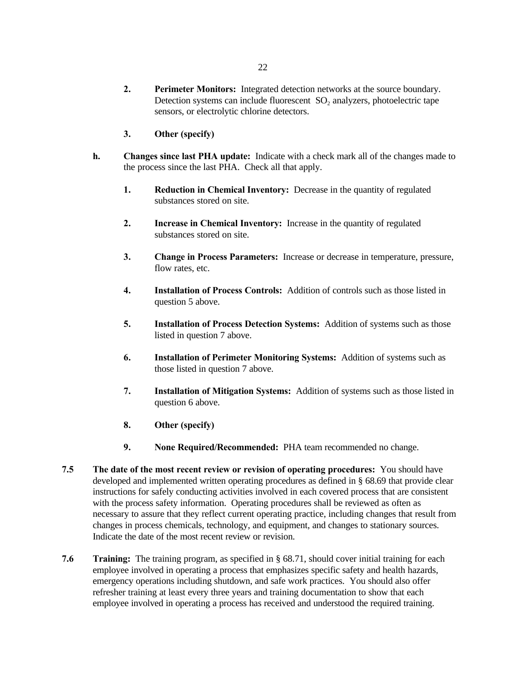- **2. Perimeter Monitors:** Integrated detection networks at the source boundary. Detection systems can include fluorescent  $SO_2$  analyzers, photoelectric tape sensors, or electrolytic chlorine detectors.
- **3. Other (specify)**
- **h. Changes since last PHA update:** Indicate with a check mark all of the changes made to the process since the last PHA. Check all that apply.
	- **1. Reduction in Chemical Inventory:** Decrease in the quantity of regulated substances stored on site.
	- **2. Increase in Chemical Inventory:** Increase in the quantity of regulated substances stored on site.
	- **3. Change in Process Parameters:** Increase or decrease in temperature, pressure, flow rates, etc.
	- **4. Installation of Process Controls:** Addition of controls such as those listed in question 5 above.
	- **5. Installation of Process Detection Systems:** Addition of systems such as those listed in question 7 above.
	- **6. Installation of Perimeter Monitoring Systems:** Addition of systems such as those listed in question 7 above.
	- **7. Installation of Mitigation Systems:** Addition of systems such as those listed in question 6 above.
	- **8. Other (specify)**
	- **9. None Required/Recommended:** PHA team recommended no change.
- **7.5 The date of the most recent review or revision of operating procedures:** You should have developed and implemented written operating procedures as defined in § 68.69 that provide clear instructions for safely conducting activities involved in each covered process that are consistent with the process safety information. Operating procedures shall be reviewed as often as necessary to assure that they reflect current operating practice, including changes that result from changes in process chemicals, technology, and equipment, and changes to stationary sources. Indicate the date of the most recent review or revision.
- **7.6 Training:** The training program, as specified in § 68.71, should cover initial training for each employee involved in operating a process that emphasizes specific safety and health hazards, emergency operations including shutdown, and safe work practices. You should also offer refresher training at least every three years and training documentation to show that each employee involved in operating a process has received and understood the required training.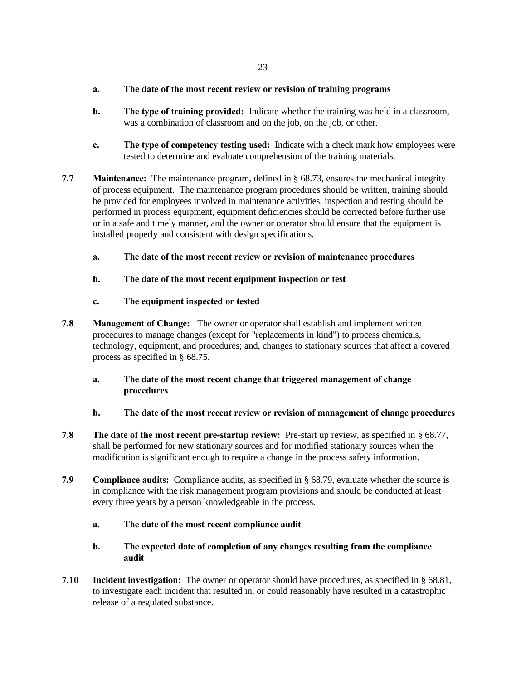## **a. The date of the most recent review or revision of training programs**

- **b. The type of training provided:** Indicate whether the training was held in a classroom, was a combination of classroom and on the job, on the job, or other.
- **c. The type of competency testing used:** Indicate with a check mark how employees were tested to determine and evaluate comprehension of the training materials.
- **7.7 Maintenance:** The maintenance program, defined in § 68.73, ensures the mechanical integrity of process equipment. The maintenance program procedures should be written, training should be provided for employees involved in maintenance activities, inspection and testing should be performed in process equipment, equipment deficiencies should be corrected before further use or in a safe and timely manner, and the owner or operator should ensure that the equipment is installed properly and consistent with design specifications.
	- **a. The date of the most recent review or revision of maintenance procedures**
	- **b. The date of the most recent equipment inspection or test**
	- **c. The equipment inspected or tested**
- **7.8 Management of Change:** The owner or operator shall establish and implement written procedures to manage changes (except for "replacements in kind") to process chemicals, technology, equipment, and procedures; and, changes to stationary sources that affect a covered process as specified in § 68.75.
	- **a. The date of the most recent change that triggered management of change procedures**
	- **b. The date of the most recent review or revision of management of change procedures**
- **7.8 The date of the most recent pre-startup review:** Pre-start up review, as specified in § 68.77, shall be performed for new stationary sources and for modified stationary sources when the modification is significant enough to require a change in the process safety information.
- **7.9 Compliance audits:** Compliance audits, as specified in § 68.79, evaluate whether the source is in compliance with the risk management program provisions and should be conducted at least every three years by a person knowledgeable in the process.
	- **a. The date of the most recent compliance audit**
	- **b. The expected date of completion of any changes resulting from the compliance audit**
- **7.10 Incident investigation:** The owner or operator should have procedures, as specified in § 68.81, to investigate each incident that resulted in, or could reasonably have resulted in a catastrophic release of a regulated substance.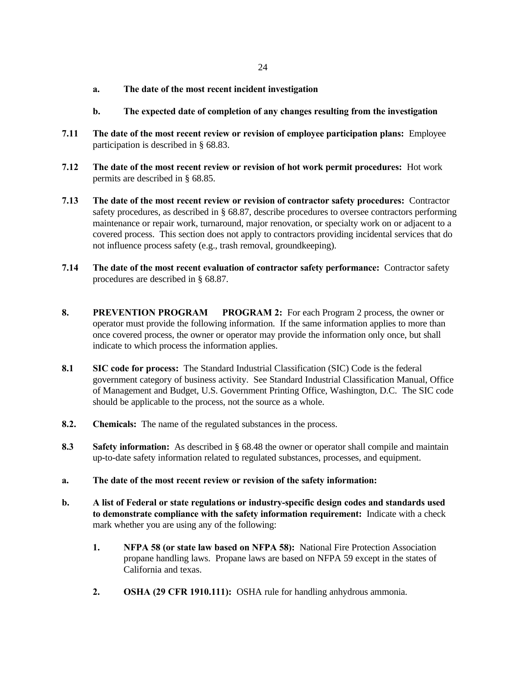- **a. The date of the most recent incident investigation**
- **b. The expected date of completion of any changes resulting from the investigation**
- **7.11 The date of the most recent review or revision of employee participation plans:** Employee participation is described in § 68.83.
- **7.12 The date of the most recent review or revision of hot work permit procedures:** Hot work permits are described in § 68.85.
- **7.13 The date of the most recent review or revision of contractor safety procedures:** Contractor safety procedures, as described in § 68.87, describe procedures to oversee contractors performing maintenance or repair work, turnaround, major renovation, or specialty work on or adjacent to a covered process. This section does not apply to contractors providing incidental services that do not influence process safety (e.g., trash removal, groundkeeping).
- **7.14 The date of the most recent evaluation of contractor safety performance:** Contractor safety procedures are described in § 68.87.
- **8. PREVENTION PROGRAM PROGRAM 2:** For each Program 2 process, the owner or operator must provide the following information. If the same information applies to more than once covered process, the owner or operator may provide the information only once, but shall indicate to which process the information applies.
- **8.1 SIC code for process:** The Standard Industrial Classification (SIC) Code is the federal government category of business activity. See Standard Industrial Classification Manual, Office of Management and Budget, U.S. Government Printing Office, Washington, D.C. The SIC code should be applicable to the process, not the source as a whole.
- **8.2. Chemicals:** The name of the regulated substances in the process.
- **8.3 Safety information:** As described in § 68.48 the owner or operator shall compile and maintain up-to-date safety information related to regulated substances, processes, and equipment.
- **a. The date of the most recent review or revision of the safety information:**
- **b. A list of Federal or state regulations or industry-specific design codes and standards used to demonstrate compliance with the safety information requirement:** Indicate with a check mark whether you are using any of the following:
	- **1. NFPA 58 (or state law based on NFPA 58):** National Fire Protection Association propane handling laws. Propane laws are based on NFPA 59 except in the states of California and texas.
	- **2. OSHA (29 CFR 1910.111):** OSHA rule for handling anhydrous ammonia.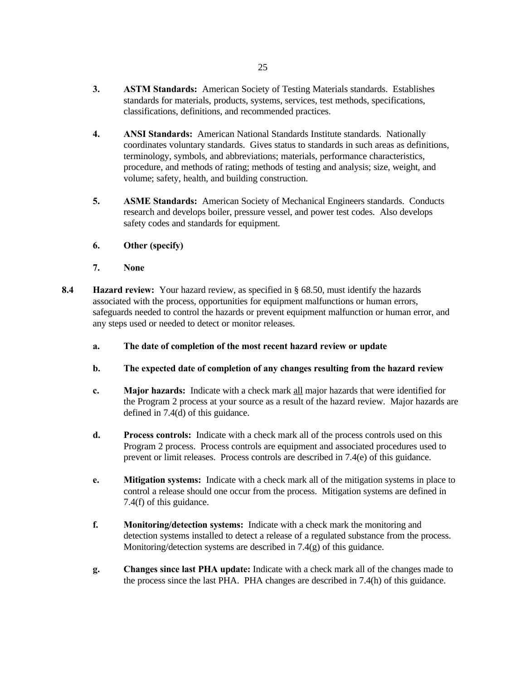- **3. ASTM Standards:** American Society of Testing Materials standards. Establishes standards for materials, products, systems, services, test methods, specifications, classifications, definitions, and recommended practices.
- **4. ANSI Standards:** American National Standards Institute standards. Nationally coordinates voluntary standards. Gives status to standards in such areas as definitions, terminology, symbols, and abbreviations; materials, performance characteristics, procedure, and methods of rating; methods of testing and analysis; size, weight, and volume; safety, health, and building construction.
- **5. ASME Standards:** American Society of Mechanical Engineers standards. Conducts research and develops boiler, pressure vessel, and power test codes. Also develops safety codes and standards for equipment.
- **6. Other (specify)**
- **7. None**
- **8.4 Hazard review:** Your hazard review, as specified in § 68.50, must identify the hazards associated with the process, opportunities for equipment malfunctions or human errors, safeguards needed to control the hazards or prevent equipment malfunction or human error, and any steps used or needed to detect or monitor releases.
	- **a. The date of completion of the most recent hazard review or update**
	- **b. The expected date of completion of any changes resulting from the hazard review**
	- **c. Major hazards:** Indicate with a check mark all major hazards that were identified for the Program 2 process at your source as a result of the hazard review. Major hazards are defined in 7.4(d) of this guidance.
	- **d. Process controls:** Indicate with a check mark all of the process controls used on this Program 2 process. Process controls are equipment and associated procedures used to prevent or limit releases. Process controls are described in 7.4(e) of this guidance.
	- **e. Mitigation systems:** Indicate with a check mark all of the mitigation systems in place to control a release should one occur from the process. Mitigation systems are defined in 7.4(f) of this guidance.
	- **f. Monitoring/detection systems:** Indicate with a check mark the monitoring and detection systems installed to detect a release of a regulated substance from the process. Monitoring/detection systems are described in 7.4(g) of this guidance.
	- **g. Changes since last PHA update:** Indicate with a check mark all of the changes made to the process since the last PHA. PHA changes are described in 7.4(h) of this guidance.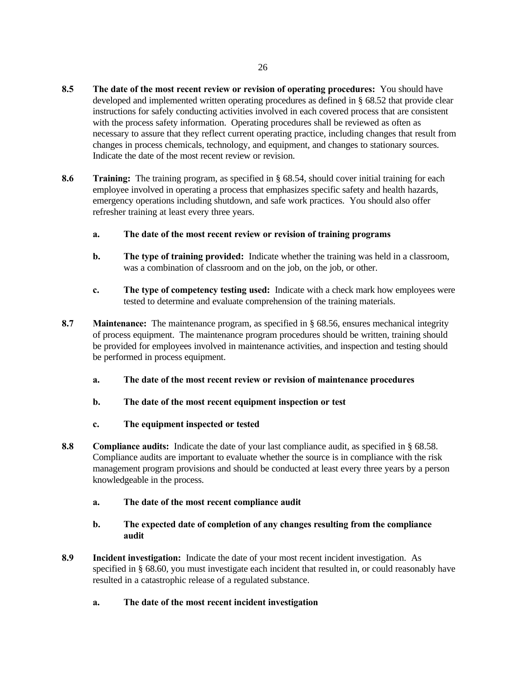- **8.5 The date of the most recent review or revision of operating procedures:** You should have developed and implemented written operating procedures as defined in § 68.52 that provide clear instructions for safely conducting activities involved in each covered process that are consistent with the process safety information. Operating procedures shall be reviewed as often as necessary to assure that they reflect current operating practice, including changes that result from changes in process chemicals, technology, and equipment, and changes to stationary sources. Indicate the date of the most recent review or revision.
- **8.6 Training:** The training program, as specified in § 68.54, should cover initial training for each employee involved in operating a process that emphasizes specific safety and health hazards, emergency operations including shutdown, and safe work practices. You should also offer refresher training at least every three years.
	- **a. The date of the most recent review or revision of training programs**
	- **b. The type of training provided:** Indicate whether the training was held in a classroom, was a combination of classroom and on the job, on the job, or other.
	- **c. The type of competency testing used:** Indicate with a check mark how employees were tested to determine and evaluate comprehension of the training materials.
- **8.7 Maintenance:** The maintenance program, as specified in § 68.56, ensures mechanical integrity of process equipment. The maintenance program procedures should be written, training should be provided for employees involved in maintenance activities, and inspection and testing should be performed in process equipment.
	- **a. The date of the most recent review or revision of maintenance procedures**
	- **b. The date of the most recent equipment inspection or test**
	- **c. The equipment inspected or tested**
- **8.8 Compliance audits:** Indicate the date of your last compliance audit, as specified in § 68.58. Compliance audits are important to evaluate whether the source is in compliance with the risk management program provisions and should be conducted at least every three years by a person knowledgeable in the process.
	- **a. The date of the most recent compliance audit**
	- **b. The expected date of completion of any changes resulting from the compliance audit**
- **8.9 Incident investigation:** Indicate the date of your most recent incident investigation. As specified in § 68.60, you must investigate each incident that resulted in, or could reasonably have resulted in a catastrophic release of a regulated substance.
	- **a. The date of the most recent incident investigation**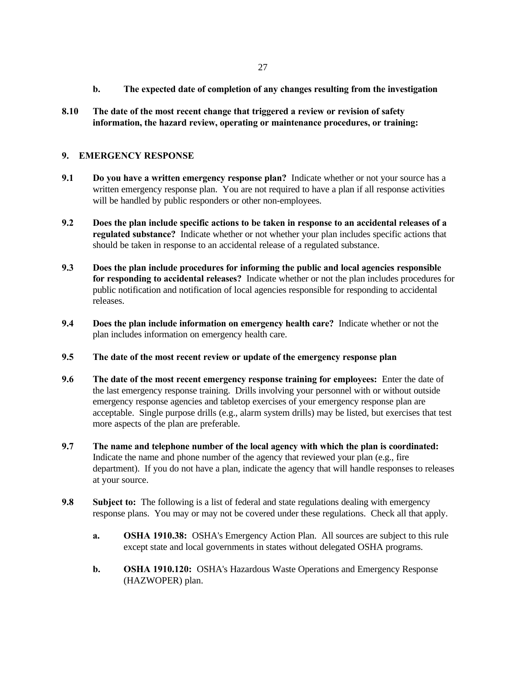- **b. The expected date of completion of any changes resulting from the investigation**
- **8.10 The date of the most recent change that triggered a review or revision of safety information, the hazard review, operating or maintenance procedures, or training:**

### **9. EMERGENCY RESPONSE**

- **9.1 Do you have a written emergency response plan?** Indicate whether or not your source has a written emergency response plan. You are not required to have a plan if all response activities will be handled by public responders or other non-employees.
- **9.2 Does the plan include specific actions to be taken in response to an accidental releases of a regulated substance?** Indicate whether or not whether your plan includes specific actions that should be taken in response to an accidental release of a regulated substance.
- **9.3 Does the plan include procedures for informing the public and local agencies responsible for responding to accidental releases?** Indicate whether or not the plan includes procedures for public notification and notification of local agencies responsible for responding to accidental releases.
- **9.4 Does the plan include information on emergency health care?** Indicate whether or not the plan includes information on emergency health care.
- **9.5 The date of the most recent review or update of the emergency response plan**
- **9.6 The date of the most recent emergency response training for employees:** Enter the date of the last emergency response training. Drills involving your personnel with or without outside emergency response agencies and tabletop exercises of your emergency response plan are acceptable. Single purpose drills (e.g., alarm system drills) may be listed, but exercises that test more aspects of the plan are preferable.
- **9.7 The name and telephone number of the local agency with which the plan is coordinated:** Indicate the name and phone number of the agency that reviewed your plan (e.g., fire department). If you do not have a plan, indicate the agency that will handle responses to releases at your source.
- **9.8 Subject to:** The following is a list of federal and state regulations dealing with emergency response plans. You may or may not be covered under these regulations. Check all that apply.
	- **a. OSHA 1910.38:** OSHA's Emergency Action Plan. All sources are subject to this rule except state and local governments in states without delegated OSHA programs.
	- **b. OSHA 1910.120:** OSHA's Hazardous Waste Operations and Emergency Response (HAZWOPER) plan.